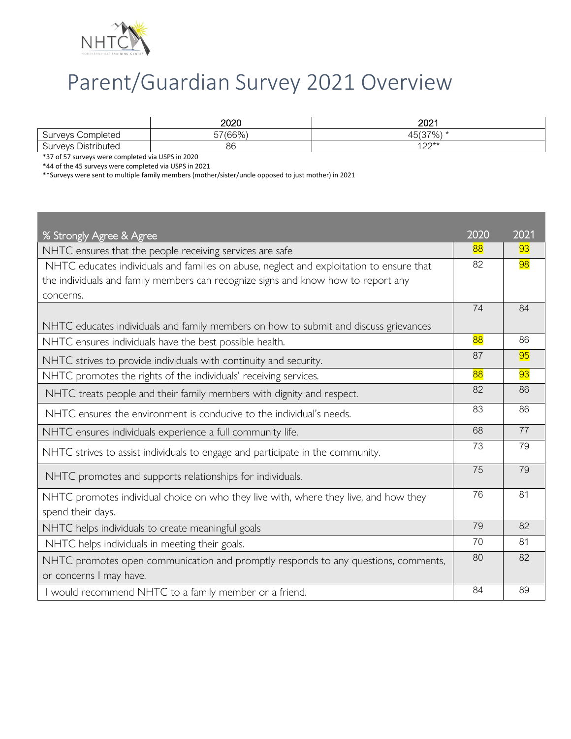

## Parent/Guardian Survey 2021 Overview

|                                                           | 2020    | റ∩റ4<br>∠∪∠                     |
|-----------------------------------------------------------|---------|---------------------------------|
| $\sim$<br>:ompleted<br>Surveys<br>וטש                     | 57(66%) | 137%<br>$\overline{a}$<br>FUI J |
| <b>Distributed</b><br>$\sim$<br><b>SUIVEV<sup>e</sup></b> | 86      | $100**$<br>⊢∠∠                  |

\*37 of 57 surveys were completed via USPS in 2020

\*44 of the 45 surveys were completed via USPS in 2021

\*\*Surveys were sent to multiple family members (mother/sister/uncle opposed to just mother) in 2021

| % Strongly Agree & Agree                                                                 |    | 2021 |
|------------------------------------------------------------------------------------------|----|------|
| NHTC ensures that the people receiving services are safe                                 |    | 93   |
| NHTC educates individuals and families on abuse, neglect and exploitation to ensure that |    | 98   |
| the individuals and family members can recognize signs and know how to report any        |    |      |
| concerns.                                                                                |    |      |
|                                                                                          | 74 | 84   |
| NHTC educates individuals and family members on how to submit and discuss grievances     | 88 |      |
| NHTC ensures individuals have the best possible health.                                  |    | 86   |
| NHTC strives to provide individuals with continuity and security.                        |    | 95   |
| NHTC promotes the rights of the individuals' receiving services.                         |    | 93   |
| NHTC treats people and their family members with dignity and respect.                    |    | 86   |
| NHTC ensures the environment is conducive to the individual's needs.                     |    | 86   |
| NHTC ensures individuals experience a full community life.                               |    | 77   |
| NHTC strives to assist individuals to engage and participate in the community.           |    | 79   |
| NHTC promotes and supports relationships for individuals.                                |    | 79   |
| NHTC promotes individual choice on who they live with, where they live, and how they     |    | 81   |
| spend their days.                                                                        | 79 |      |
| NHTC helps individuals to create meaningful goals                                        |    | 82   |
| NHTC helps individuals in meeting their goals.                                           |    | 81   |
| NHTC promotes open communication and promptly responds to any questions, comments,       |    | 82   |
| or concerns I may have.                                                                  |    |      |
| I would recommend NHTC to a family member or a friend.                                   |    | 89   |